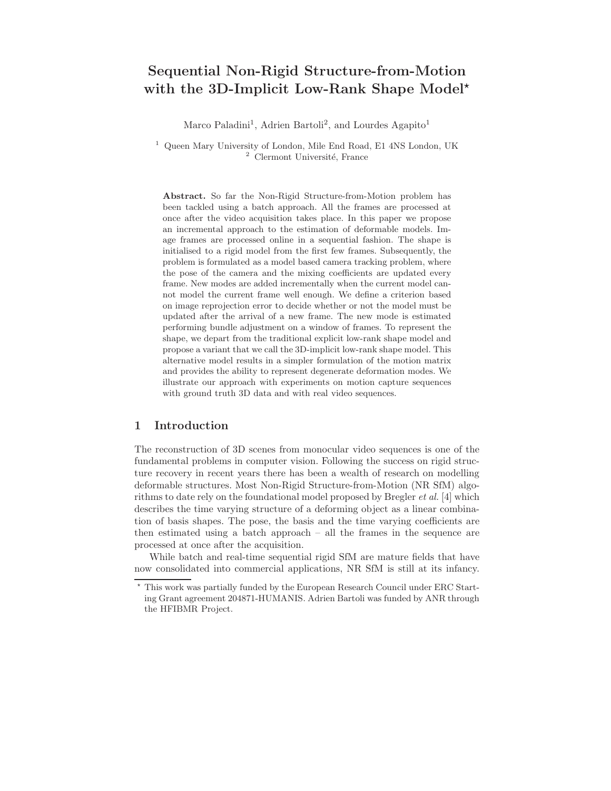# Sequential Non-Rigid Structure-from-Motion with the 3D-Implicit Low-Rank Shape Model<sup>\*</sup>

Marco Paladini<sup>1</sup>, Adrien Bartoli<sup>2</sup>, and Lourdes Agapito<sup>1</sup>

<sup>1</sup> Queen Mary University of London, Mile End Road, E1 4NS London, UK  $2$  Clermont Université, France

Abstract. So far the Non-Rigid Structure-from-Motion problem has been tackled using a batch approach. All the frames are processed at once after the video acquisition takes place. In this paper we propose an incremental approach to the estimation of deformable models. Image frames are processed online in a sequential fashion. The shape is initialised to a rigid model from the first few frames. Subsequently, the problem is formulated as a model based camera tracking problem, where the pose of the camera and the mixing coefficients are updated every frame. New modes are added incrementally when the current model cannot model the current frame well enough. We define a criterion based on image reprojection error to decide whether or not the model must be updated after the arrival of a new frame. The new mode is estimated performing bundle adjustment on a window of frames. To represent the shape, we depart from the traditional explicit low-rank shape model and propose a variant that we call the 3D-implicit low-rank shape model. This alternative model results in a simpler formulation of the motion matrix and provides the ability to represent degenerate deformation modes. We illustrate our approach with experiments on motion capture sequences with ground truth 3D data and with real video sequences.

## 1 Introduction

The reconstruction of 3D scenes from monocular video sequences is one of the fundamental problems in computer vision. Following the success on rigid structure recovery in recent years there has been a wealth of research on modelling deformable structures. Most Non-Rigid Structure-from-Motion (NR SfM) algorithms to date rely on the foundational model proposed by Bregler et al. [4] which describes the time varying structure of a deforming object as a linear combination of basis shapes. The pose, the basis and the time varying coefficients are then estimated using a batch approach – all the frames in the sequence are processed at once after the acquisition.

While batch and real-time sequential rigid SfM are mature fields that have now consolidated into commercial applications, NR SfM is still at its infancy.

<sup>⋆</sup> This work was partially funded by the European Research Council under ERC Starting Grant agreement 204871-HUMANIS. Adrien Bartoli was funded by ANR through the HFIBMR Project.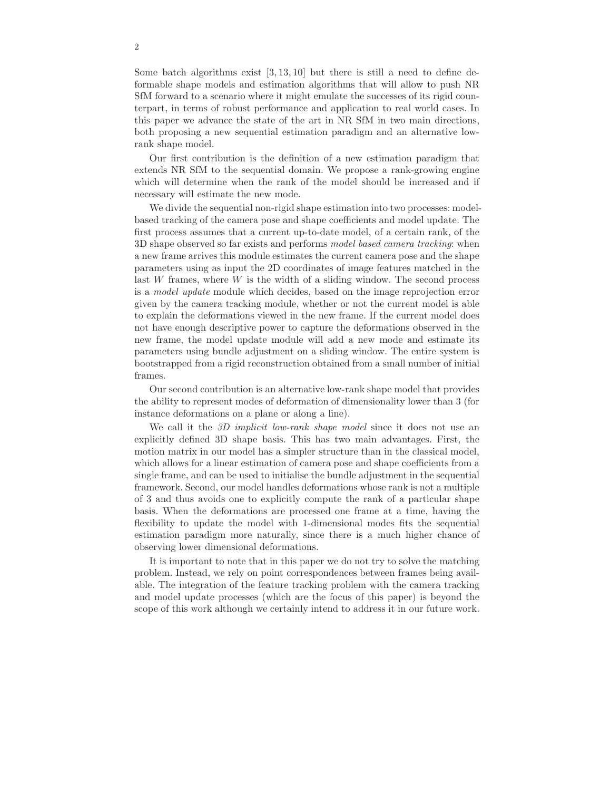Some batch algorithms exist  $[3, 13, 10]$  but there is still a need to define deformable shape models and estimation algorithms that will allow to push NR SfM forward to a scenario where it might emulate the successes of its rigid counterpart, in terms of robust performance and application to real world cases. In this paper we advance the state of the art in NR SfM in two main directions, both proposing a new sequential estimation paradigm and an alternative lowrank shape model.

Our first contribution is the definition of a new estimation paradigm that extends NR SfM to the sequential domain. We propose a rank-growing engine which will determine when the rank of the model should be increased and if necessary will estimate the new mode.

We divide the sequential non-rigid shape estimation into two processes: modelbased tracking of the camera pose and shape coefficients and model update. The first process assumes that a current up-to-date model, of a certain rank, of the 3D shape observed so far exists and performs model based camera tracking: when a new frame arrives this module estimates the current camera pose and the shape parameters using as input the 2D coordinates of image features matched in the last  $W$  frames, where  $W$  is the width of a sliding window. The second process is a model update module which decides, based on the image reprojection error given by the camera tracking module, whether or not the current model is able to explain the deformations viewed in the new frame. If the current model does not have enough descriptive power to capture the deformations observed in the new frame, the model update module will add a new mode and estimate its parameters using bundle adjustment on a sliding window. The entire system is bootstrapped from a rigid reconstruction obtained from a small number of initial frames.

Our second contribution is an alternative low-rank shape model that provides the ability to represent modes of deformation of dimensionality lower than 3 (for instance deformations on a plane or along a line).

We call it the 3D implicit low-rank shape model since it does not use an explicitly defined 3D shape basis. This has two main advantages. First, the motion matrix in our model has a simpler structure than in the classical model, which allows for a linear estimation of camera pose and shape coefficients from a single frame, and can be used to initialise the bundle adjustment in the sequential framework. Second, our model handles deformations whose rank is not a multiple of 3 and thus avoids one to explicitly compute the rank of a particular shape basis. When the deformations are processed one frame at a time, having the flexibility to update the model with 1-dimensional modes fits the sequential estimation paradigm more naturally, since there is a much higher chance of observing lower dimensional deformations.

It is important to note that in this paper we do not try to solve the matching problem. Instead, we rely on point correspondences between frames being available. The integration of the feature tracking problem with the camera tracking and model update processes (which are the focus of this paper) is beyond the scope of this work although we certainly intend to address it in our future work.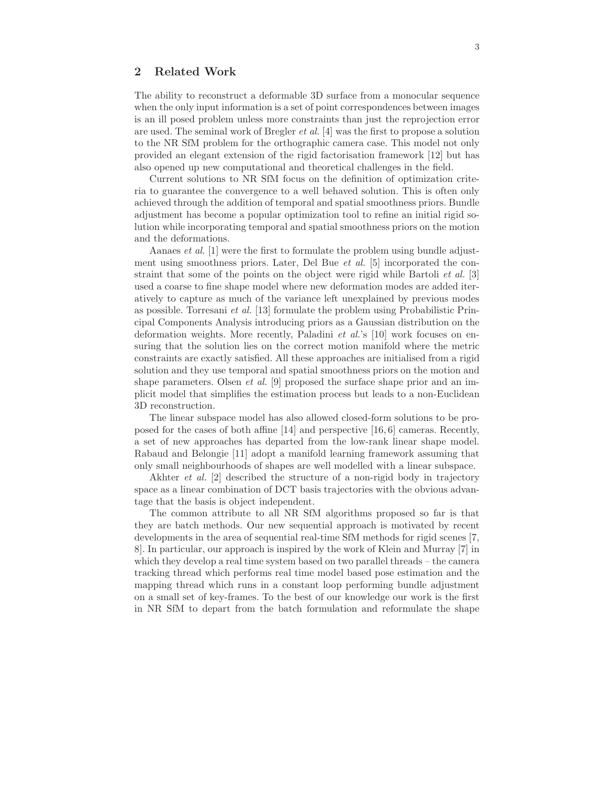## 2 Related Work

The ability to reconstruct a deformable 3D surface from a monocular sequence when the only input information is a set of point correspondences between images is an ill posed problem unless more constraints than just the reprojection error are used. The seminal work of Bregler et al. [4] was the first to propose a solution to the NR SfM problem for the orthographic camera case. This model not only provided an elegant extension of the rigid factorisation framework [12] but has also opened up new computational and theoretical challenges in the field.

Current solutions to NR SfM focus on the definition of optimization criteria to guarantee the convergence to a well behaved solution. This is often only achieved through the addition of temporal and spatial smoothness priors. Bundle adjustment has become a popular optimization tool to refine an initial rigid solution while incorporating temporal and spatial smoothness priors on the motion and the deformations.

Aanaes et al. [1] were the first to formulate the problem using bundle adjustment using smoothness priors. Later, Del Bue et al. [5] incorporated the constraint that some of the points on the object were rigid while Bartoli *et al.* [3] used a coarse to fine shape model where new deformation modes are added iteratively to capture as much of the variance left unexplained by previous modes as possible. Torresani et al. [13] formulate the problem using Probabilistic Principal Components Analysis introducing priors as a Gaussian distribution on the deformation weights. More recently, Paladini *et al.*'s  $[10]$  work focuses on ensuring that the solution lies on the correct motion manifold where the metric constraints are exactly satisfied. All these approaches are initialised from a rigid solution and they use temporal and spatial smoothness priors on the motion and shape parameters. Olsen *et al.* [9] proposed the surface shape prior and an implicit model that simplifies the estimation process but leads to a non-Euclidean 3D reconstruction.

The linear subspace model has also allowed closed-form solutions to be proposed for the cases of both affine [14] and perspective [16, 6] cameras. Recently, a set of new approaches has departed from the low-rank linear shape model. Rabaud and Belongie [11] adopt a manifold learning framework assuming that only small neighbourhoods of shapes are well modelled with a linear subspace.

Akhter et al. [2] described the structure of a non-rigid body in trajectory space as a linear combination of DCT basis trajectories with the obvious advantage that the basis is object independent.

The common attribute to all NR SfM algorithms proposed so far is that they are batch methods. Our new sequential approach is motivated by recent developments in the area of sequential real-time SfM methods for rigid scenes [7, 8]. In particular, our approach is inspired by the work of Klein and Murray [7] in which they develop a real time system based on two parallel threads – the camera tracking thread which performs real time model based pose estimation and the mapping thread which runs in a constant loop performing bundle adjustment on a small set of key-frames. To the best of our knowledge our work is the first in NR SfM to depart from the batch formulation and reformulate the shape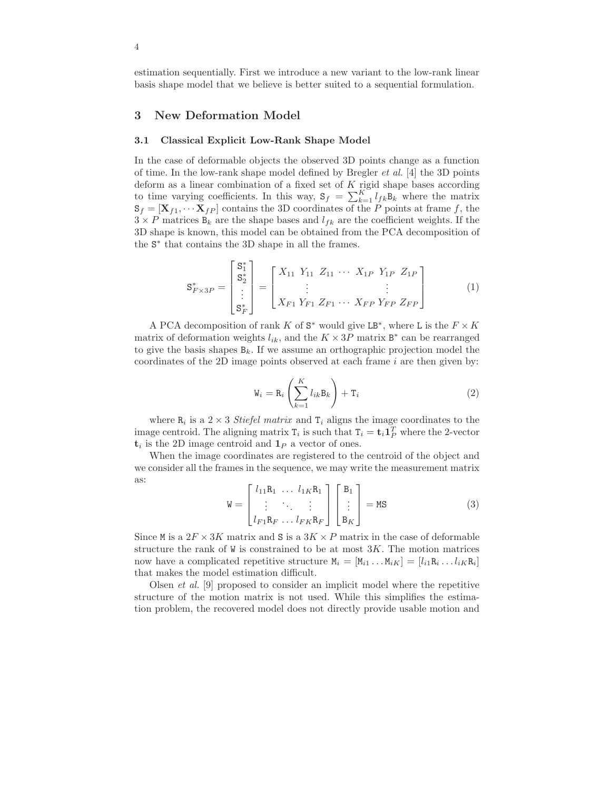estimation sequentially. First we introduce a new variant to the low-rank linear basis shape model that we believe is better suited to a sequential formulation.

## 3 New Deformation Model

#### 3.1 Classical Explicit Low-Rank Shape Model

In the case of deformable objects the observed 3D points change as a function of time. In the low-rank shape model defined by Bregler *et al.* [4] the 3D points deform as a linear combination of a fixed set of K rigid shape bases according to time varying coefficients. In this way,  $S_f = \sum_{k=1}^{K} l_{fk}B_k$  where the matrix  $\mathbf{S}_f = [\mathbf{X}_{f1}, \cdots \mathbf{X}_{fP}]$  contains the 3D coordinates of the P points at frame f, the  $3 \times P$  matrices  $B_k$  are the shape bases and  $l_{fk}$  are the coefficient weights. If the 3D shape is known, this model can be obtained from the PCA decomposition of the  $S^*$  that contains the 3D shape in all the frames.

$$
\mathbf{S}_{F \times 3P}^{*} = \begin{bmatrix} \mathbf{S}_{1}^{*} \\ \mathbf{S}_{2}^{*} \\ \vdots \\ \mathbf{S}_{F}^{*} \end{bmatrix} = \begin{bmatrix} X_{11} & Y_{11} & Z_{11} & \cdots & X_{1P} & Y_{1P} & Z_{1P} \\ \vdots & & & \vdots & \\ X_{F1} & Y_{F1} & Z_{F1} & \cdots & X_{FP} & Y_{FP} & Z_{FP} \end{bmatrix}
$$
(1)

A PCA decomposition of rank K of  $S^*$  would give LB<sup>\*</sup>, where L is the  $F \times K$ matrix of deformation weights  $l_{ik}$ , and the  $K \times 3P$  matrix  $B^*$  can be rearranged to give the basis shapes  $B_k$ . If we assume an orthographic projection model the coordinates of the 2D image points observed at each frame  $i$  are then given by:

$$
W_i = R_i \left( \sum_{k=1}^K l_{ik} B_k \right) + T_i \tag{2}
$$

where  $R_i$  is a  $2 \times 3$  Stiefel matrix and  $T_i$  aligns the image coordinates to the image centroid. The aligning matrix  $\mathbf{T}_i$  is such that  $\mathbf{T}_i = \mathbf{t}_i \mathbf{1}_P^T$  where the 2-vector  $\mathbf{t}_i$  is the 2D image centroid and  $\mathbf{1}_P$  a vector of ones.

When the image coordinates are registered to the centroid of the object and we consider all the frames in the sequence, we may write the measurement matrix as:

$$
\mathbf{W} = \begin{bmatrix} l_{11}\mathbf{R}_{1} & \dots & l_{1K}\mathbf{R}_{1} \\ \vdots & \ddots & \vdots \\ l_{F1}\mathbf{R}_{F} & \dots & l_{FK}\mathbf{R}_{F} \end{bmatrix} \begin{bmatrix} \mathbf{B}_{1} \\ \vdots \\ \mathbf{B}_{K} \end{bmatrix} = \mathbf{M}\mathbf{S}
$$
(3)

Since M is a  $2F \times 3K$  matrix and S is a  $3K \times P$  matrix in the case of deformable structure the rank of  $W$  is constrained to be at most  $3K$ . The motion matrices now have a complicated repetitive structure  $M_i = [M_{i1} \dots M_{iK}] = [l_{i1}R_i \dots l_{iK}R_i]$ that makes the model estimation difficult.

Olsen et al. [9] proposed to consider an implicit model where the repetitive structure of the motion matrix is not used. While this simplifies the estimation problem, the recovered model does not directly provide usable motion and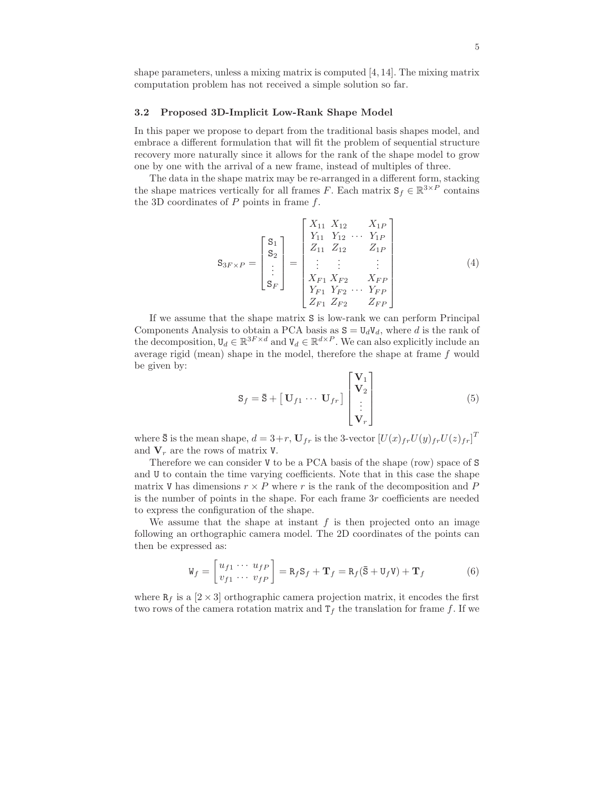shape parameters, unless a mixing matrix is computed [4, 14]. The mixing matrix computation problem has not received a simple solution so far.

#### 3.2 Proposed 3D-Implicit Low-Rank Shape Model

In this paper we propose to depart from the traditional basis shapes model, and embrace a different formulation that will fit the problem of sequential structure recovery more naturally since it allows for the rank of the shape model to grow one by one with the arrival of a new frame, instead of multiples of three.

The data in the shape matrix may be re-arranged in a different form, stacking the shape matrices vertically for all frames F. Each matrix  $\mathbf{S}_f \in \mathbb{R}^{3 \times P}$  contains the 3D coordinates of  $P$  points in frame  $f$ .

$$
\mathbf{S}_{3F\times P} = \begin{bmatrix} \mathbf{S}_{1} \\ \mathbf{S}_{2} \\ \vdots \\ \mathbf{S}_{F} \end{bmatrix} = \begin{bmatrix} X_{11} & X_{12} & X_{1P} \\ Y_{11} & Y_{12} & \cdots & Y_{1P} \\ Z_{11} & Z_{12} & Z_{1P} \\ \vdots & \vdots & \vdots & \vdots \\ X_{F1} & Z_{F2} & X_{FP} \\ Z_{F1} & Z_{F2} & Z_{FP} \end{bmatrix}
$$
(4)

If we assume that the shape matrix S is low-rank we can perform Principal Components Analysis to obtain a PCA basis as  $S = U_d V_d$ , where d is the rank of the decomposition,  $U_d \in \mathbb{R}^{3F \times d}$  and  $V_d \in \mathbb{R}^{d \times P}$ . We can also explicitly include an average rigid (mean) shape in the model, therefore the shape at frame  $f$  would be given by:

$$
\mathbf{S}_{f} = \mathbf{\bar{S}} + \begin{bmatrix} \mathbf{U}_{f1} \cdots \mathbf{U}_{fr} \end{bmatrix} \begin{bmatrix} \mathbf{V}_{1} \\ \mathbf{V}_{2} \\ \vdots \\ \mathbf{V}_{r} \end{bmatrix}
$$
 (5)

where  $\bar{\mathbf{S}}$  is the mean shape,  $d = 3+r$ ,  $\mathbf{U}_{fr}$  is the 3-vector  $[U(x)_{fr}U(y)_{fr}U(z)_{fr}]^T$ and  $V_r$  are the rows of matrix V.

Therefore we can consider V to be a PCA basis of the shape (row) space of S and U to contain the time varying coefficients. Note that in this case the shape matrix V has dimensions  $r \times P$  where r is the rank of the decomposition and P is the number of points in the shape. For each frame 3r coefficients are needed to express the configuration of the shape.

We assume that the shape at instant  $f$  is then projected onto an image following an orthographic camera model. The 2D coordinates of the points can then be expressed as:

$$
\mathbf{W}_f = \begin{bmatrix} u_{f1} & \cdots & u_{fP} \\ v_{f1} & \cdots & v_{fP} \end{bmatrix} = \mathbf{R}_f \mathbf{S}_f + \mathbf{T}_f = \mathbf{R}_f (\mathbf{\bar{S}} + \mathbf{U}_f \mathbf{V}) + \mathbf{T}_f \tag{6}
$$

where  $R_f$  is a  $[2 \times 3]$  orthographic camera projection matrix, it encodes the first two rows of the camera rotation matrix and  $T_f$  the translation for frame f. If we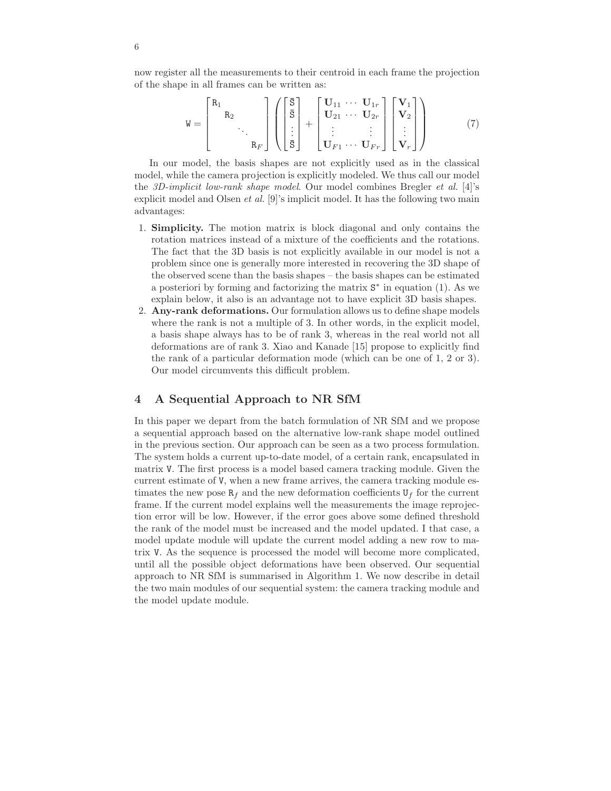now register all the measurements to their centroid in each frame the projection of the shape in all frames can be written as:

$$
\mathbf{W} = \begin{bmatrix} \mathbf{R}_1 & & \\ & \mathbf{R}_2 & \\ & & \ddots \\ & & & \mathbf{R}_F \end{bmatrix} \left( \begin{bmatrix} \overline{\mathbf{S}} \\ \overline{\mathbf{S}} \\ \vdots \\ \overline{\mathbf{S}} \end{bmatrix} + \begin{bmatrix} \mathbf{U}_{11} & \cdots & \mathbf{U}_{1r} \\ \mathbf{U}_{21} & \cdots & \mathbf{U}_{2r} \\ \vdots & & \vdots \\ \mathbf{U}_{F1} & \cdots & \mathbf{U}_{Fr} \end{bmatrix} \begin{bmatrix} \mathbf{V}_1 \\ \mathbf{V}_2 \\ \vdots \\ \mathbf{V}_r \end{bmatrix} \right) \tag{7}
$$

In our model, the basis shapes are not explicitly used as in the classical model, while the camera projection is explicitly modeled. We thus call our model the 3D-implicit low-rank shape model. Our model combines Bregler et al. [4]'s explicit model and Olsen *et al.* [9]'s implicit model. It has the following two main advantages:

- 1. Simplicity. The motion matrix is block diagonal and only contains the rotation matrices instead of a mixture of the coefficients and the rotations. The fact that the 3D basis is not explicitly available in our model is not a problem since one is generally more interested in recovering the 3D shape of the observed scene than the basis shapes – the basis shapes can be estimated a posteriori by forming and factorizing the matrix  $S^*$  in equation (1). As we explain below, it also is an advantage not to have explicit 3D basis shapes.
- 2. Any-rank deformations. Our formulation allows us to define shape models where the rank is not a multiple of 3. In other words, in the explicit model, a basis shape always has to be of rank 3, whereas in the real world not all deformations are of rank 3. Xiao and Kanade [15] propose to explicitly find the rank of a particular deformation mode (which can be one of 1, 2 or 3). Our model circumvents this difficult problem.

## 4 A Sequential Approach to NR SfM

In this paper we depart from the batch formulation of NR SfM and we propose a sequential approach based on the alternative low-rank shape model outlined in the previous section. Our approach can be seen as a two process formulation. The system holds a current up-to-date model, of a certain rank, encapsulated in matrix V. The first process is a model based camera tracking module. Given the current estimate of V, when a new frame arrives, the camera tracking module estimates the new pose  $R_f$  and the new deformation coefficients  $U_f$  for the current frame. If the current model explains well the measurements the image reprojection error will be low. However, if the error goes above some defined threshold the rank of the model must be increased and the model updated. I that case, a model update module will update the current model adding a new row to matrix V. As the sequence is processed the model will become more complicated, until all the possible object deformations have been observed. Our sequential approach to NR SfM is summarised in Algorithm 1. We now describe in detail the two main modules of our sequential system: the camera tracking module and the model update module.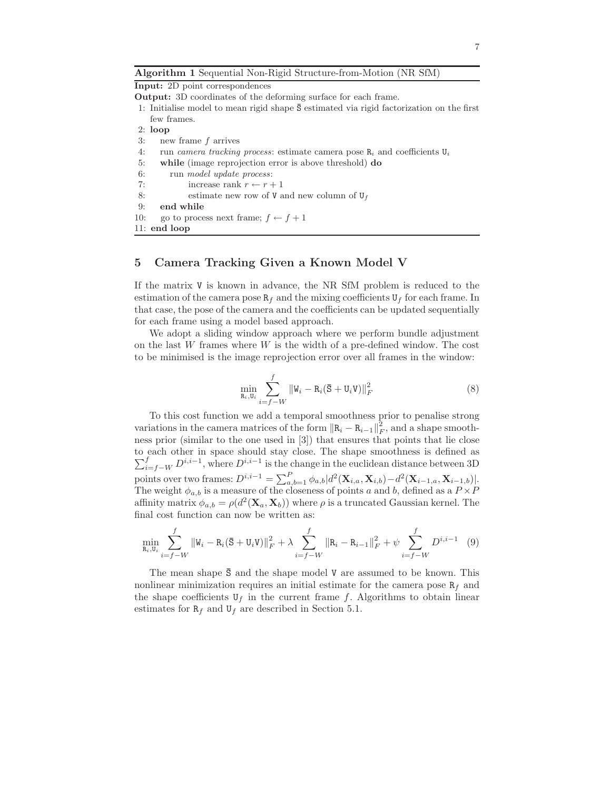|  |  |  | Algorithm 1 Sequential Non-Rigid Structure-from-Motion (NR SfM) |  |  |
|--|--|--|-----------------------------------------------------------------|--|--|
|--|--|--|-----------------------------------------------------------------|--|--|

Input: 2D point correspondences

Output: 3D coordinates of the deforming surface for each frame.

1: Initialise model to mean rigid shape  $\bar{S}$  estimated via rigid factorization on the first few frames.

2: loop

- 3: new frame f arrives
- 4: run camera tracking process: estimate camera pose  $\mathbb{R}_i$  and coefficients  $\mathbb{U}_i$
- 5: while (image reprojection error is above threshold) do
- 6: run model update process:
- 7: increase rank  $r \leftarrow r + 1$
- 8: estimate new row of V and new column of  $U_f$
- 9: end while
- 10: go to process next frame;  $f \leftarrow f + 1$
- 11: end loop

## 5 Camera Tracking Given a Known Model V

If the matrix V is known in advance, the NR SfM problem is reduced to the estimation of the camera pose  $R_f$  and the mixing coefficients  $U_f$  for each frame. In that case, the pose of the camera and the coefficients can be updated sequentially for each frame using a model based approach.

We adopt a sliding window approach where we perform bundle adjustment on the last  $W$  frames where  $W$  is the width of a pre-defined window. The cost to be minimised is the image reprojection error over all frames in the window:

$$
\min_{\mathbf{R}_{i},\mathbf{U}_{i}} \sum_{i=f-W}^{f} ||\mathbf{W}_{i} - \mathbf{R}_{i}(\mathbf{\bar{S}} + \mathbf{U}_{i}\mathbf{V})||_{F}^{2}
$$
\n(8)

To this cost function we add a temporal smoothness prior to penalise strong variations in the camera matrices of the form  $\left\| \mathbf{R}_{i} - \mathbf{R}_{i-1} \right\|_{F}^{2}$  $\frac{2}{F}$ , and a shape smoothness prior (similar to the one used in [3]) that ensures that points that lie close to each other in space should stay close. The shape smoothnes s is defined as  $\sum_{i=f-W}^{f} D^{i,i-1}$ , where  $D^{i,i-1}$  is the change in the euclidean distance between 3D points over two frames:  $D^{i,i-1} = \sum_{a,b=1}^{P} \phi_{a,b} | d^2(\mathbf{X}_{i,a}, \mathbf{X}_{i,b}) - d^2(\mathbf{X}_{i-1,a}, \mathbf{X}_{i-1,b}) |$ . The weight  $\phi_{a,b}$  is a measure of the closeness of points a and b, defined as a  $P \times P$ affinity matrix  $\phi_{a,b} = \rho(d^2(\mathbf{X}_a, \mathbf{X}_b))$  where  $\rho$  is a truncated Gaussian kernel. The final cost function can now be written as:

$$
\min_{\mathbf{R}_{i},\mathbf{U}_{i}} \sum_{i=f-W}^{f} \left\|W_{i}-\mathbf{R}_{i}(\mathbf{\bar{S}}+\mathbf{U}_{i}\mathbf{V})\right\|_{F}^{2} + \lambda \sum_{i=f-W}^{f} \left\|\mathbf{R}_{i}-\mathbf{R}_{i-1}\right\|_{F}^{2} + \psi \sum_{i=f-W}^{f} D^{i,i-1} \tag{9}
$$

The mean shape  $\bar{S}$  and the shape model V are assumed to be known. This nonlinear minimization requires an initial estimate for the camera pose  $R_f$  and the shape coefficients  $U_f$  in the current frame f. Algorithms to obtain linear estimates for  $R_f$  and  $U_f$  are described in Section 5.1.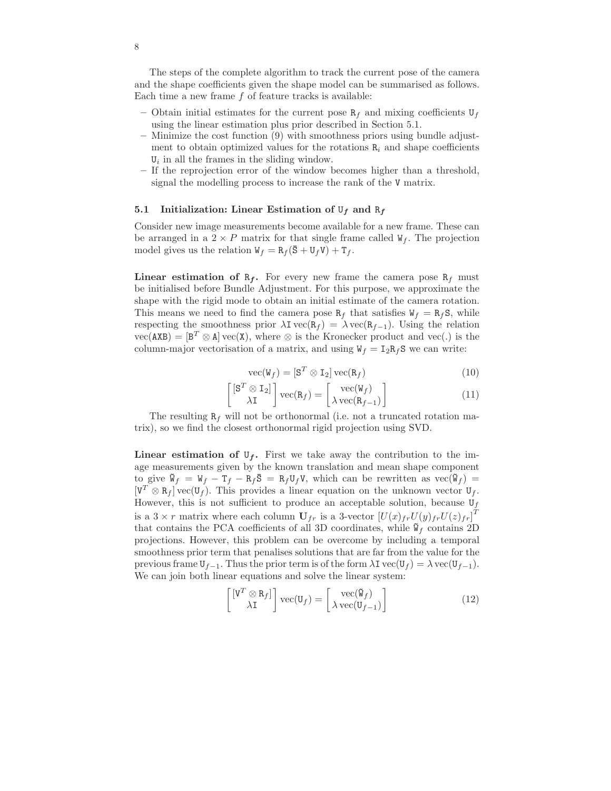The steps of the complete algorithm to track the current pose of the camera and the shape coefficients given the shape model can be summarised as follows. Each time a new frame  $f$  of feature tracks is available:

- Obtain initial estimates for the current pose  $R_f$  and mixing coefficients  $U_f$ using the linear estimation plus prior described in Section 5.1.
- Minimize the cost function (9) with smoothness priors using bundle adjustment to obtain optimized values for the rotations  $R_i$  and shape coefficients  $U_i$  in all the frames in the sliding window.
- If the reprojection error of the window becomes higher than a threshold, signal the modelling process to increase the rank of the V matrix.

#### 5.1 Initialization: Linear Estimation of  $U_f$  and  $R_f$

Consider new image measurements become available for a new frame. These can be arranged in a  $2 \times P$  matrix for that single frame called  $W_f$ . The projection model gives us the relation  $W_f = R_f(\bar{S} + U_f V) + T_f$ .

**Linear estimation of R<sub>f</sub>**. For every new frame the camera pose  $R_f$  must be initialised before Bundle Adjustment. For this purpose, we approximate the shape with the rigid mode to obtain an initial estimate of the camera rotation. This means we need to find the camera pose  $R_f$  that satisfies  $W_f = R_f S$ , while respecting the smoothness prior  $\lambda I$  vec(R<sub>f</sub>) =  $\lambda$  vec(R<sub>f−1</sub>). Using the relation  $vec(\text{X} \times \text{X}) = [\text{B}^T \otimes \text{A}]\text{vec}(\text{X})$ , where  $\otimes$  is the Kronecker product and vec(.) is the column-major vectorisation of a matrix, and using  $W_f = I_2R_fS$  we can write:

$$
\text{vec}(\mathbf{W}_f) = [\mathbf{S}^T \otimes \mathbf{I}_2] \,\text{vec}(\mathbf{R}_f) \tag{10}
$$

$$
\begin{bmatrix} [\mathbf{S}^T \otimes \mathbf{I}_2] \\ \lambda \mathbf{I} \end{bmatrix} \text{vec}(\mathbf{R}_f) = \begin{bmatrix} \text{vec}(\mathbf{W}_f) \\ \lambda \text{vec}(\mathbf{R}_{f-1}) \end{bmatrix} \tag{11}
$$

The resulting  $R_f$  will not be orthonormal (i.e. not a truncated rotation matrix), so we find the closest orthonormal rigid projection using SVD.

**Linear estimation of**  $U_f$ **.** First we take away the contribution to the image measurements given by the known translation and mean shape component to give  $\tilde{W}_f = W_f - T_f - R_f \bar{S} = R_f U_f V$ , which can be rewritten as  $\text{vec}(\tilde{W}_f) =$  $[V^T \otimes R_f]$  vec $(U_f)$ . This provides a linear equation on the unknown vector  $U_f$ . However, this is not sufficient to produce an acceptable solution, because  $U_f$ is a  $3 \times r$  matrix where each column  $\mathbf{U}_{fr}$  is a 3-vector  $[U(x)_{fr}U(y)_{fr}U(y)_{fr}U(z)_{fr}]^T$ that contains the PCA coefficients of all 3D coordinates, while  $\tilde{W}_f$  contains 2D projections. However, this problem can be overcome by including a temporal smoothness prior term that penalises solutions that are far from the value for the previous frame  $U_{f-1}$ . Thus the prior term is of the form  $\lambda I$  vec( $U_f$ ) =  $\lambda$  vec( $U_{f-1}$ ). We can join both linear equations and solve the linear system:

$$
\begin{bmatrix} [\mathbf{V}^T \otimes \mathbf{R}_f] \\ \lambda \mathbf{I} \end{bmatrix} \text{vec}(\mathbf{U}_f) = \begin{bmatrix} \text{vec}(\widetilde{\mathbf{W}}_f) \\ \lambda \text{vec}(\mathbf{U}_{f-1}) \end{bmatrix} \tag{12}
$$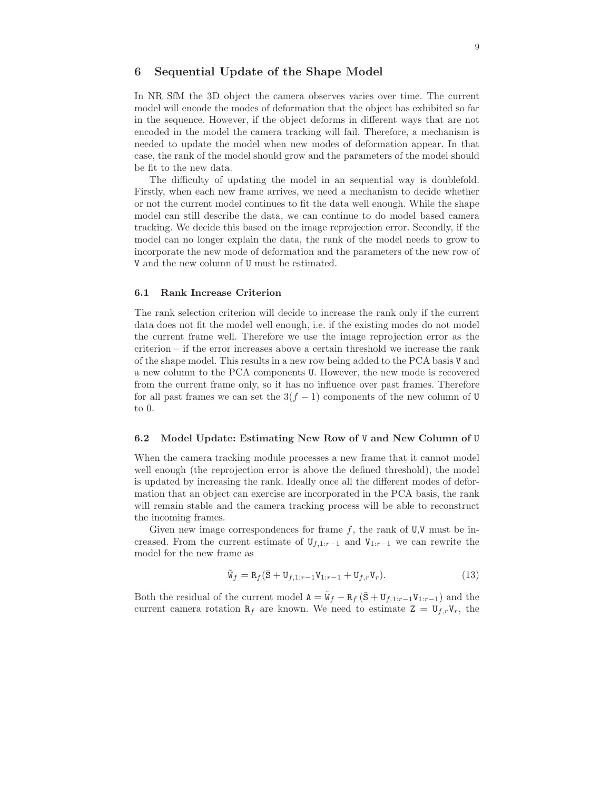## 6 Sequential Update of the Shape Model

In NR SfM the 3D object the camera observes varies over time. The current model will encode the modes of deformation that the object has exhibited so far in the sequence. However, if the object deforms in different ways that are not encoded in the model the camera tracking will fail. Therefore, a mechanism is needed to update the model when new modes of deformation appear. In that case, the rank of the model should grow and the parameters of the model should be fit to the new data.

The difficulty of updating the model in an sequential way is doublefold. Firstly, when each new frame arrives, we need a mechanism to decide whether or not the current model continues to fit the data well enough. While the shape model can still describe the data, we can continue to do model based camera tracking. We decide this based on the image reprojection error. Secondly, if the model can no longer explain the data, the rank of the model needs to grow to incorporate the new mode of deformation and the parameters of the new row of V and the new column of U must be estimated.

#### 6.1 Rank Increase Criterion

The rank selection criterion will decide to increase the rank only if the current data does not fit the model well enough, i.e. if the existing modes do not model the current frame well. Therefore we use the image reprojection error as the criterion – if the error increases above a certain threshold we increase the rank of the shape model. This results in a new row being added to the PCA basis V and a new column to the PCA components U. However, the new mode is recovered from the current frame only, so it has no influence over past frames. Therefore for all past frames we can set the  $3(f-1)$  components of the new column of U to 0.

#### 6.2 Model Update: Estimating New Row of V and New Column of U

When the camera tracking module processes a new frame that it cannot model well enough (the reprojection error is above the defined threshold), the model is updated by increasing the rank. Ideally once all the different modes of deformation that an object can exercise are incorporated in the PCA basis, the rank will remain stable and the camera tracking process will be able to reconstruct the incoming frames.

Given new image correspondences for frame  $f$ , the rank of U,V must be increased. From the current estimate of  $U_{f,1:r-1}$  and  $V_{1:r-1}$  we can rewrite the model for the new frame as

$$
\tilde{W}_f = R_f(\bar{S} + U_{f,1:r-1}V_{1:r-1} + U_{f,r}V_r).
$$
\n(13)

Both the residual of the current model  $A = W_f - R_f (\bar{S} + U_{f,1:r-1}V_{1:r-1})$  and the current camera rotation R<sub>f</sub> are known. We need to estimate  $Z = U_{f,r}V_r$ , the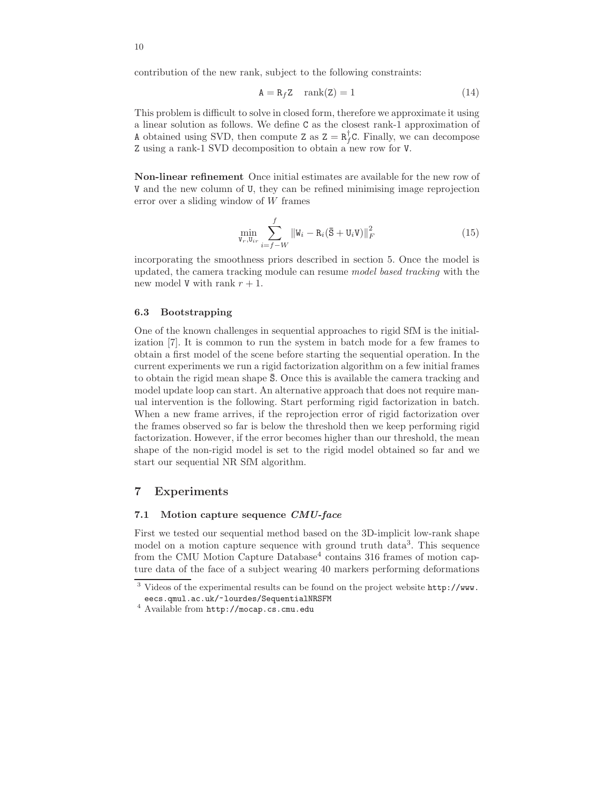contribution of the new rank, subject to the following constraints:

$$
A = R_f Z \quad \text{rank}(Z) = 1 \tag{14}
$$

This problem is difficult to solve in closed form, therefore we approximate it using a linear solution as follows. We define C as the closest rank-1 approximation of A obtained using SVD, then compute Z as  $Z = R_f^{\dagger} C$ . Finally, we can decompose Z using a rank-1 SVD decomposition to obtain a new row for V.

Non-linear refinement Once initial estimates are available for the new row of V and the new column of U, they can be refined minimising image reprojection error over a sliding window of W frames

$$
\min_{\mathbf{V}_r, \mathbf{U}_{ir}} \sum_{i=f-W}^{f} ||\mathbf{W}_i - \mathbf{R}_i(\mathbf{\bar{S}} + \mathbf{U}_i \mathbf{V})||_F^2
$$
\n(15)

incorporating the smoothness priors described in section 5. Once the model is updated, the camera tracking module can resume model based tracking with the new model V with rank  $r + 1$ .

#### 6.3 Bootstrapping

One of the known challenges in sequential approaches to rigid SfM is the initialization [7]. It is common to run the system in batch mode for a few frames to obtain a first model of the scene before starting the sequential operation. In the current experiments we run a rigid factorization algorithm on a few initial frames to obtain the rigid mean shape  $\bar{S}$ . Once this is available the camera tracking and model update loop can start. An alternative approach that does not require manual intervention is the following. Start performing rigid factorization in batch. When a new frame arrives, if the reprojection error of rigid factorization over the frames observed so far is below the threshold then we keep performing rigid factorization. However, if the error becomes higher than our threshold, the mean shape of the non-rigid model is set to the rigid model obtained so far and we start our sequential NR SfM algorithm.

## 7 Experiments

#### 7.1 Motion capture sequence CMU-face

First we tested our sequential method based on the 3D-implicit low-rank shape model on a motion capture sequence with ground truth data<sup>3</sup>. This sequence from the CMU Motion Capture Database<sup>4</sup> contains 316 frames of motion capture data of the face of a subject wearing 40 markers performing deformations

<sup>3</sup> Videos of the experimental results can be found on the project website http://www. eecs.qmul.ac.uk/~lourdes/SequentialNRSFM

<sup>4</sup> Available from http://mocap.cs.cmu.edu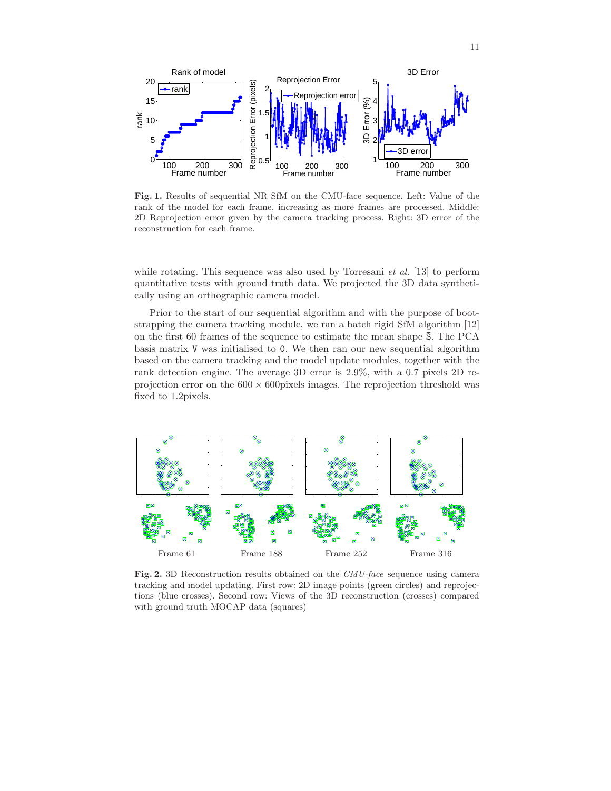

Fig. 1. Results of sequential NR SfM on the CMU-face sequence. Left: Value of the rank of the model for each frame, increasing as more frames are processed. Middle: 2D Reprojection error given by the camera tracking process. Right: 3D error of the reconstruction for each frame.

while rotating. This sequence was also used by Torresani *et al.* [13] to perform quantitative tests with ground truth data. We projected the 3D data synthetically using an orthographic camera model.

Prior to the start of our sequential algorithm and with the purpose of bootstrapping the camera tracking module, we ran a batch rigid SfM algorithm [12] on the first 60 frames of the sequence to estimate the mean shape  $\bar{S}$ . The PCA basis matrix V was initialised to 0. We then ran our new sequential algorithm based on the camera tracking and the model update modules, together with the rank detection engine. The average 3D error is 2.9%, with a 0.7 pixels 2D reprojection error on the  $600 \times 600$  pixels images. The reprojection threshold was fixed to 1.2pixels.



Fig. 2. 3D Reconstruction results obtained on the CMU-face sequence using camera tracking and model updating. First row: 2D image points (green circles) and reprojections (blue crosses). Second row: Views of the 3D reconstruction (crosses) compared with ground truth MOCAP data (squares)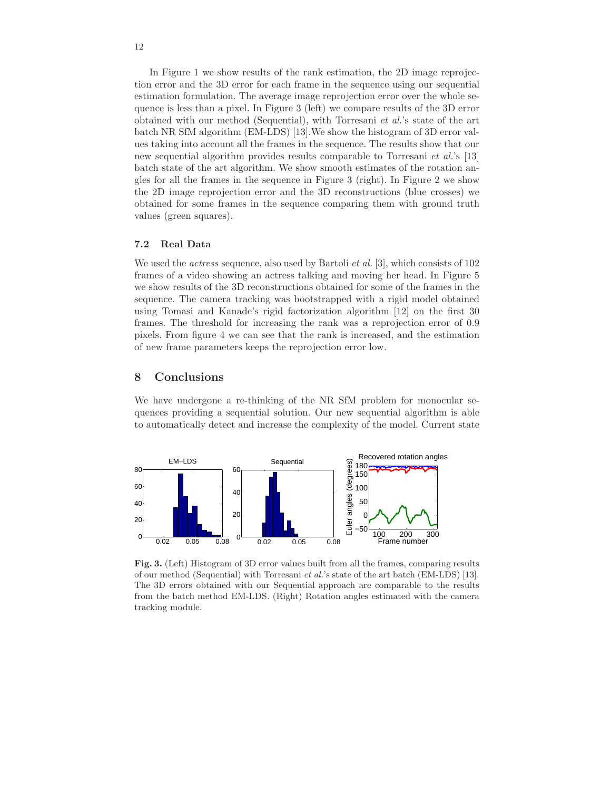In Figure 1 we show results of the rank estimation, the 2D image reprojection error and the 3D error for each frame in the sequence using our sequential estimation formulation. The average image reprojection error over the whole sequence is less than a pixel. In Figure 3 (left) we compare results of the 3D error obtained with our method (Sequential), with Torresani et al.'s state of the art batch NR SfM algorithm (EM-LDS) [13].We show the histogram of 3D error values taking into account all the frames in the sequence. The results show that our new sequential algorithm provides results comparable to Torresani et al.'s [13] batch state of the art algorithm. We show smooth estimates of the rotation angles for all the frames in the sequence in Figure 3 (right). In Figure 2 we show the 2D image reprojection error and the 3D reconstructions (blue crosses) we obtained for some frames in the sequence comparing them with ground truth values (green squares).

#### 7.2 Real Data

We used the *actress* sequence, also used by Bartoli *et al.* [3], which consists of 102 frames of a video showing an actress talking and moving her head. In Figure 5 we show results of the 3D reconstructions obtained for some of the frames in the sequence. The camera tracking was bootstrapped with a rigid model obtained using Tomasi and Kanade's rigid factorization algorithm [12] on the first 30 frames. The threshold for increasing the rank was a reprojection error of 0.9 pixels. From figure 4 we can see that the rank is increased, and the estimation of new frame parameters keeps the reprojection error low.

## 8 Conclusions

We have undergone a re-thinking of the NR SfM problem for monocular sequences providing a sequential solution. Our new sequential algorithm is able to automatically detect and increase the complexity of the model. Current state



Fig. 3. (Left) Histogram of 3D error values built from all the frames, comparing results of our method (Sequential) with Torresani et al.'s state of the art batch (EM-LDS) [13]. The 3D errors obtained with our Sequential approach are comparable to the results from the batch method EM-LDS. (Right) Rotation angles estimated with the camera tracking module.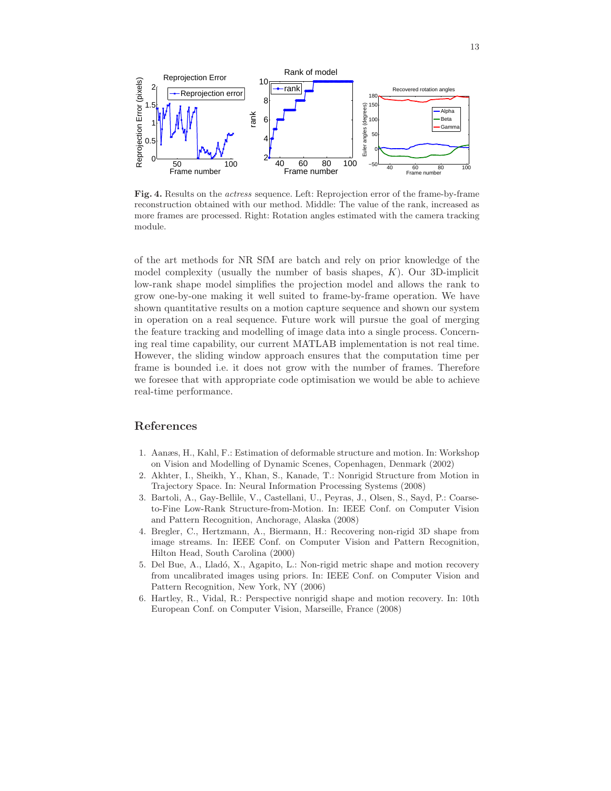

Fig. 4. Results on the actress sequence. Left: Reprojection error of the frame-by-frame reconstruction obtained with our method. Middle: The value of the rank, increased as more frames are processed. Right: Rotation angles estimated with the camera tracking module.

of the art methods for NR SfM are batch and rely on prior knowledge of the model complexity (usually the number of basis shapes,  $K$ ). Our 3D-implicit low-rank shape model simplifies the projection model and allows the rank to grow one-by-one making it well suited to frame-by-frame operation. We have shown quantitative results on a motion capture sequence and shown our system in operation on a real sequence. Future work will pursue the goal of merging the feature tracking and modelling of image data into a single process. Concerning real time capability, our current MATLAB implementation is not real time. However, the sliding window approach ensures that the computation time per frame is bounded i.e. it does not grow with the number of frames. Therefore we foresee that with appropriate code optimisation we would be able to achieve real-time performance.

## References

- 1. Aanæs, H., Kahl, F.: Estimation of deformable structure and motion. In: Workshop on Vision and Modelling of Dynamic Scenes, Copenhagen, Denmark (2002)
- 2. Akhter, I., Sheikh, Y., Khan, S., Kanade, T.: Nonrigid Structure from Motion in Trajectory Space. In: Neural Information Processing Systems (2008)
- 3. Bartoli, A., Gay-Bellile, V., Castellani, U., Peyras, J., Olsen, S., Sayd, P.: Coarseto-Fine Low-Rank Structure-from-Motion. In: IEEE Conf. on Computer Vision and Pattern Recognition, Anchorage, Alaska (2008)
- 4. Bregler, C., Hertzmann, A., Biermann, H.: Recovering non-rigid 3D shape from image streams. In: IEEE Conf. on Computer Vision and Pattern Recognition, Hilton Head, South Carolina (2000)
- 5. Del Bue, A., Lladó, X., Agapito, L.: Non-rigid metric shape and motion recovery from uncalibrated images using priors. In: IEEE Conf. on Computer Vision and Pattern Recognition, New York, NY (2006)
- 6. Hartley, R., Vidal, R.: Perspective nonrigid shape and motion recovery. In: 10th European Conf. on Computer Vision, Marseille, France (2008)